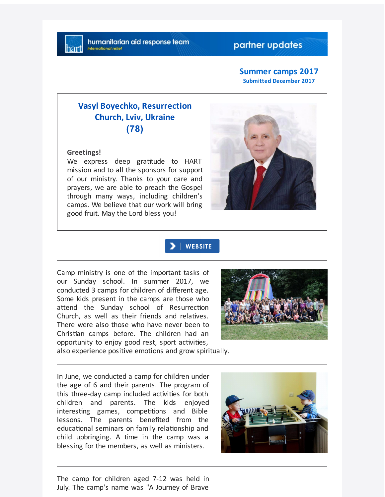## partner updates

#### **Summer camps 2017 Submitted December 2017**

# **Vasyl Boyechko, Resurrection Church, Lviv, Ukraine (78)**

**Greetings!**

We express deep gratitude to HART mission and to all the sponsors for support of our ministry. Thanks to your care and prayers, we are able to preach the Gospel through many ways, including children's camps. We believe that our work will bring good fruit. May the Lord bless you!



### | WEBSITE

Camp ministry is one of the important tasks of our Sunday school. In summer 2017, we conducted 3 camps for children of different age. Some kids present in the camps are those who attend the Sunday school of Resurrection Church, as well as their friends and relatives. There were also those who have never been to Christian camps before. The children had an opportunity to enjoy good rest, sport activities,



also experience positive emotions and grow spiritually.

In June, we conducted a camp for children under the age of 6 and their parents. The program of this three-day camp included activities for both children and parents. The kids enjoyed interesting games, competitions and Bible lessons. The parents benefited from the educational seminars on family relationship and child upbringing. A time in the camp was a blessing for the members, as well as ministers.



The camp for children aged 7-12 was held in July. The camp's name was "A Journey of Brave